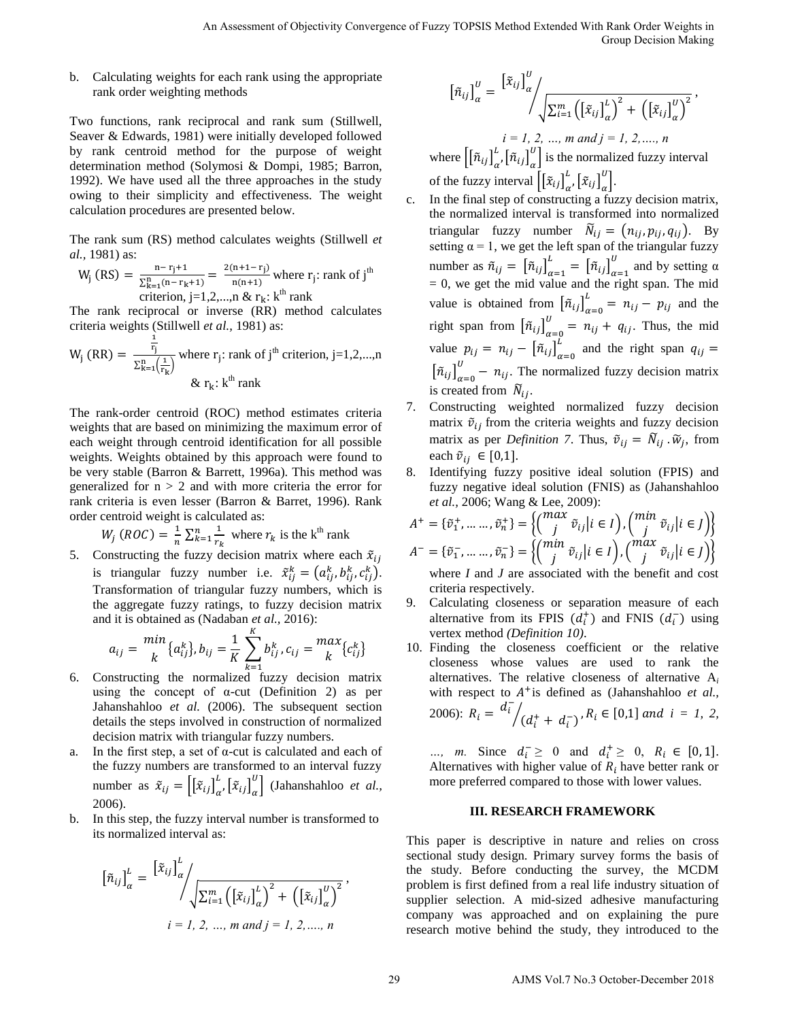b. Calculating weights for each rank using the appropriate rank order weighting methods

Two functions, rank reciprocal and rank sum (Stillwell, Seaver & Edwards, 1981) were initially developed followed by rank centroid method for the purpose of weight determination method (Solymosi & Dompi, 1985; Barron, 1992). We have used all the three approaches in the study owing to their simplicity and effectiveness. The weight calculation procedures are presented below.

The rank sum (RS) method calculates weights (Stillwell *et al.,* 1981) as:

$$
W_j (RS) = \frac{n - r_j + 1}{\sum_{k=1}^{n} (n - r_k + 1)} = \frac{2(n + 1 - r_j)}{n(n + 1)}
$$
 where  $r_j$ : rank of j<sup>th</sup> criterion, j=1,2,...,n &  $r_k$ : k<sup>th</sup> rank

The rank reciprocal or inverse (RR) method calculates criteria weights (Stillwell *et al.,* 1981) as:

$$
W_j (RR) = \frac{\frac{1}{r_j}}{\sum_{k=1}^{n} (\frac{1}{r_k})}
$$
 where  $r_j$ : rank of  $j^{th}$  criterion,  $j=1,2,...,n$   
&  $r_k$ :  $k^{th}$  rank

The rank-order centroid (ROC) method estimates criteria weights that are based on minimizing the maximum error of each weight through centroid identification for all possible weights. Weights obtained by this approach were found to be very stable (Barron & Barrett, 1996a). This method was generalized for  $n > 2$  and with more criteria the error for rank criteria is even lesser (Barron & Barret, 1996). Rank order centroid weight is calculated as:

$$
W_j \ (ROC) = \frac{1}{n} \sum_{k=1}^n \frac{1}{r_k}
$$
 where  $r_k$  is the k<sup>th</sup> rank

5. Constructing the fuzzy decision matrix where each  $\tilde{x}_{ij}$ is triangular fuzzy number i.e.  $\tilde{x}_{ij}^k = (a_{ij}^k, b_{ij}^k, c_{ij}^k)$ . Transformation of triangular fuzzy numbers, which is the aggregate fuzzy ratings, to fuzzy decision matrix and it is obtained as (Nadaban *et al.,* 2016):

$$
a_{ij} = \frac{min}{k} \{a_{ij}^k\}, b_{ij} = \frac{1}{K} \sum_{k=1}^K b_{ij}^k, c_{ij} = \frac{max}{k} \{c_{ij}^k\}
$$

- 6. Constructing the normalized fuzzy decision matrix using the concept of  $\alpha$ -cut (Definition 2) as per Jahanshahloo *et al.* (2006). The subsequent section details the steps involved in construction of normalized decision matrix with triangular fuzzy numbers.
- a. In the first step, a set of α-cut is calculated and each of the fuzzy numbers are transformed to an interval fuzzy number as  $\tilde{x}_{ij} = [[\tilde{x}_{ij}]]_{\alpha}^{\alpha}$  $\int_{\alpha}^{L}$ ,  $\left[ \tilde{x}_{ij} \right]_{\alpha}^{U}$  $\begin{bmatrix} u \\ v \end{bmatrix}$  (Jahanshahloo *et al.,* 2006).
- b. In this step, the fuzzy interval number is transformed to its normalized interval as:

$$
[\tilde{n}_{ij}]_{\alpha}^{L} = \frac{[\tilde{x}_{ij}]_{\alpha}^{L}}{\sqrt{\sum_{i=1}^{m} ((\tilde{x}_{ij})_{\alpha}^{L})^{2} + ((\tilde{x}_{ij})_{\alpha}^{U})^{2}}},
$$
  
 $i = 1, 2, ..., m \text{ and } j = 1, 2, ..., n$ 

$$
[\tilde{n}_{ij}]_{\alpha}^{U} = \frac{[\tilde{x}_{ij}]}{\alpha} \sqrt{\sum_{i=1}^{m} ([\tilde{x}_{ij}]_{\alpha}^{L})^{2} + ([\tilde{x}_{ij}]_{\alpha}^{U})^{2}} ,
$$
  
\n $i = 1, 2, ..., m \text{ and } j = 1, 2, ..., n$ 

where  $\left\lfloor \left[ \tilde{n}_{ij} \right] \right\rfloor^{\nu}$  $\frac{\hbar}{\alpha}$ ,  $\left[ \tilde{n}_{ij} \right]_{\alpha}^{U}$  $\begin{bmatrix} u \\ v \end{bmatrix}$  is the normalized fuzzy interval of the fuzzy interval  $\left[ \left[ \tilde{x}_{ij} \right]_{\alpha}^{\beta} \right]$  $\int_{\alpha}^{L}$ ,  $\left[ \tilde{x}_{ij} \right]_{\alpha}^{U}$  $\int$ .

- In the final step of constructing a fuzzy decision matrix, the normalized interval is transformed into normalized triangular fuzzy number  $\widetilde{N}_{ij} = (n_{ij}, p_{ij}, q_{ij})$ . By setting  $\alpha = 1$ , we get the left span of the triangular fuzzy number as  $\tilde{n}_{ij} = \left[ \tilde{n}_{ij} \right]_{\alpha}^{\beta}$  $\sum_{\alpha=1}^L = \left[ \tilde{n}_{ij} \right]_{\alpha}^U$  $\frac{u}{a}$  and by setting α  $= 0$ , we get the mid value and the right span. The mid value is obtained from  $\left[\tilde{n}_{ij}\right]_{\alpha}^{\beta}$  $\sum_{i=0}^{L}$  =  $n_{ij}$  -  $p_{ij}$  and the right span from  $\left[\tilde{n}_{ij}\right]_{\alpha}^{\circ}$  $\frac{U}{I} = n_{ij} + q_{ij}$ . Thus, the mid value  $p_{ij} = n_{ij} - \left[ \tilde{n}_{ij} \right]_{\alpha}^{\beta}$  $\mu$  and the right span  $\left[\tilde{n}_{ij}\right]_{\alpha}^{\circ}$  $\frac{v}{r}$  –  $n_{ij}$ . The normalized fuzzy decision matrix is created from  $N_{ij}$ . An Assessment of Objectivity Convergence of Fuzzy TOPSIS Media Extended With Rank Order With Rank Order With Rank Order With The Convergence of Fuzzy Topics (Eq.  $\left[\frac{2}{3}\right]_{1/2}^{2/3}$ ,  $\left[\frac{2}{3}\right]_{1/2}^{2/3}$ ,  $\left[\frac{2}{3$ 
	- 7. Constructing weighted normalized fuzzy decision matrix  $\tilde{v}_{ij}$  from the criteria weights and fuzzy decision matrix as per *Definition 7*. Thus,  $\tilde{v}_{ij} = \tilde{N}_{ij} \cdot \tilde{w}_j$ , from each  $\tilde{v}_{ii} \in [0,1]$ .
	- 8. Identifying fuzzy positive ideal solution (FPIS) and fuzzy negative ideal solution (FNIS) as (Jahanshahloo *et al.,* 2006; Wang & Lee, 2009):

$$
A^+ = \{\tilde{v}_1^+, \dots, \tilde{v}_n^+\} = \left\{ \begin{pmatrix} \max_j & \tilde{v}_{ij} \mid i \in I \end{pmatrix}, \begin{pmatrix} \min_j & \tilde{v}_{ij} \mid i \in J \end{pmatrix} \right\}
$$
  

$$
A^- = \{\tilde{v}_1^-, \dots, \tilde{v}_n^-\} = \left\{ \begin{pmatrix} \min_j & \tilde{v}_{ij} \mid i \in I \end{pmatrix}, \begin{pmatrix} \max_j & \tilde{v}_{ij} \mid i \in J \end{pmatrix} \right\}
$$
  
where *I* and *J* are associated with the benefit and cost

where *I* and *J* are associated with the benefit and cost criteria respectively.

- 9. Calculating closeness or separation measure of each alternative from its FPIS  $(d_i^+)$  and FNIS  $(d_i^-)$  using vertex method *(Definition 10)*.
- 10. Finding the closeness coefficient or the relative closeness whose values are used to rank the alternatives. The relative closeness of alternative A*<sup>i</sup>* with respect to  $A^+$  is defined as (Jahanshahloo *et al.,* 2006):  $R_i = \frac{d_i^-}{dt}$  $/(d_i^+ + d_i^-)$ ,  $R_i \in [0,1]$  and  $i = 1, 2, ...$

*…, m.* Since  $d_i^-\geq 0$  and  $d_i^+\geq 0$ ,  $R_i \in [0,1]$ . Alternatives with higher value of  $R_i$  have better rank or more preferred compared to those with lower values.

## **III. RESEARCH FRAMEWORK**

This paper is descriptive in nature and relies on cross sectional study design. Primary survey forms the basis of the study. Before conducting the survey, the MCDM problem is first defined from a real life industry situation of supplier selection. A mid-sized adhesive manufacturing company was approached and on explaining the pure research motive behind the study, they introduced to the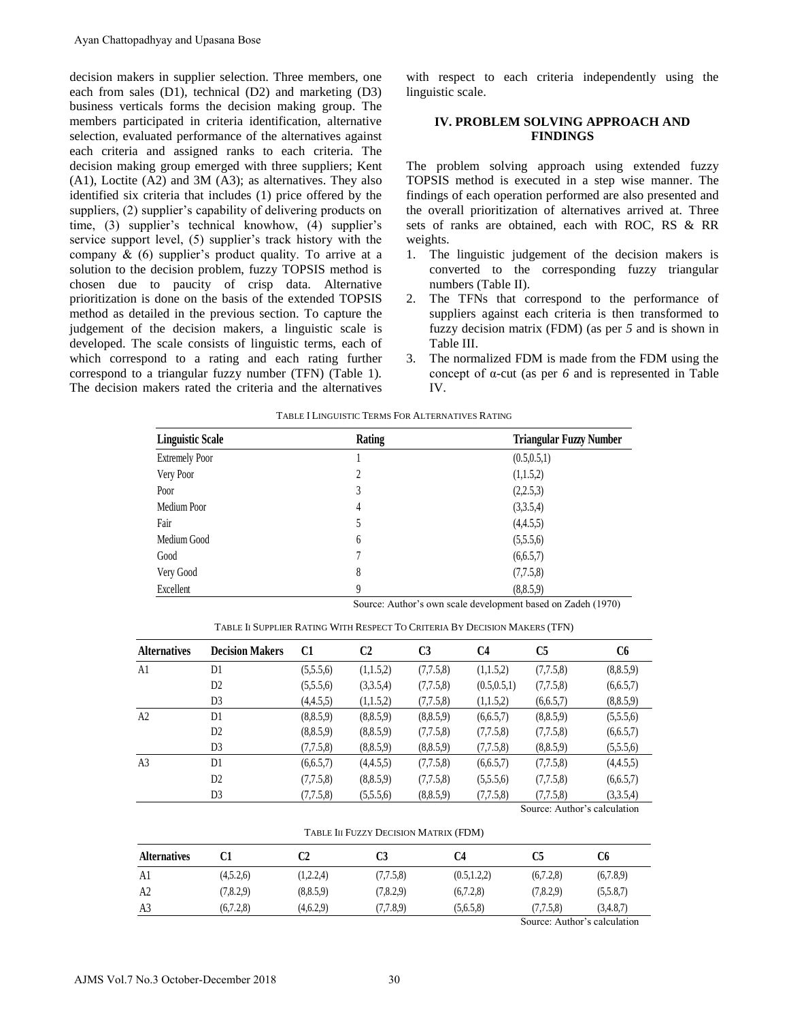decision makers in supplier selection. Three members, one each from sales (D1), technical (D2) and marketing (D3) business verticals forms the decision making group. The members participated in criteria identification, alternative selection, evaluated performance of the alternatives against each criteria and assigned ranks to each criteria. The decision making group emerged with three suppliers; Kent (A1), Loctite (A2) and 3M (A3); as alternatives. They also identified six criteria that includes (1) price offered by the suppliers, (2) supplier's capability of delivering products on time, (3) supplier's technical knowhow, (4) supplier's service support level, (5) supplier's track history with the company  $\&$  (6) supplier's product quality. To arrive at a solution to the decision problem, fuzzy TOPSIS method is chosen due to paucity of crisp data. Alternative prioritization is done on the basis of the extended TOPSIS method as detailed in the previous section. To capture the judgement of the decision makers, a linguistic scale is developed. The scale consists of linguistic terms, each of which correspond to a rating and each rating further correspond to a triangular fuzzy number (TFN) (Table 1). The decision makers rated the criteria and the alternatives Ayan Chattopadhyay and Upasana Bose<br>
clearion mades in supplier selection. Three members, one<br>
can from sulses (10), to christial (D2) and markeining (D3)<br>
sushess vertical forms the decision maditing group. The<br>
such sim

with respect to each criteria independently using the linguistic scale.

# **IV. PROBLEM SOLVING APPROACH AND FINDINGS**

The problem solving approach using extended fuzzy TOPSIS method is executed in a step wise manner. The findings of each operation performed are also presented and the overall prioritization of alternatives arrived at. Three sets of ranks are obtained, each with ROC, RS & RR weights.

- 1. The linguistic judgement of the decision makers is converted to the corresponding fuzzy triangular numbers (Table II).
- 2. The TFNs that correspond to the performance of suppliers against each criteria is then transformed to fuzzy decision matrix (FDM) (as per *5* and is shown in Table III.
- 3. The normalized FDM is made from the FDM using the concept of α-cut (as per *6* and is represented in Table IV.

| <b>Linguistic Scale</b> | Rating | <b>Triangular Fuzzy Number</b> |
|-------------------------|--------|--------------------------------|
| <b>Extremely Poor</b>   |        | (0.5, 0.5, 1)                  |
| Very Poor               | 2      | (1,1.5,2)                      |
| Poor                    | 3      | (2,2.5,3)                      |
| Medium Poor             | 4      | (3,3.5,4)                      |
| Fair                    | 5      | (4,4.5,5)                      |
| Medium Good             | 6      | (5,5.5,6)                      |
| Good                    |        | (6,6.5,7)                      |
| Very Good               | 8      | (7,7.5,8)                      |
| Excellent               | 9      | (8, 8.5, 9)                    |

TABLE I LINGUISTIC TERMS FOR ALTERNATIVES RATING

TABLE II SUPPLIER RATING WITH RESPECT TO CRITERIA BY DECISION MAKERS (TFN)

| Excellent           |                                                                            |                                                              | 9<br>(8,8.5,9) |                |               |                              |                |  |  |  |
|---------------------|----------------------------------------------------------------------------|--------------------------------------------------------------|----------------|----------------|---------------|------------------------------|----------------|--|--|--|
|                     |                                                                            | Source: Author's own scale development based on Zadeh (1970) |                |                |               |                              |                |  |  |  |
|                     | TABLE II SUPPLIER RATING WITH RESPECT TO CRITERIA BY DECISION MAKERS (TFN) |                                                              |                |                |               |                              |                |  |  |  |
| <b>Alternatives</b> | <b>Decision Makers</b>                                                     | C1                                                           | C2             | C <sub>3</sub> | C4            | C <sub>5</sub>               | C <sub>6</sub> |  |  |  |
| A1                  | D1                                                                         | (5,5.5,6)                                                    | (1,1.5,2)      | (7,7.5,8)      | (1,1.5,2)     | (7,7.5,8)                    | (8, 8.5, 9)    |  |  |  |
|                     | D <sub>2</sub>                                                             | (5,5.5,6)                                                    | (3,3.5,4)      | (7,7.5,8)      | (0.5, 0.5, 1) | (7,7.5,8)                    | (6,6.5,7)      |  |  |  |
|                     | D <sub>3</sub>                                                             | (4,4.5,5)                                                    | (1,1.5,2)      | (7,7.5,8)      | (1,1.5,2)     | (6,6.5,7)                    | (8, 8.5, 9)    |  |  |  |
| A2                  | D1                                                                         | (8, 8.5, 9)                                                  | (8, 8.5, 9)    | (8, 8.5, 9)    | (6.6.5.7)     | (8, 8.5, 9)                  | (5,5.5,6)      |  |  |  |
|                     | D <sub>2</sub>                                                             | (8, 8.5, 9)                                                  | (8.8.5.9)      | (7,7.5,8)      | (7.7.5.8)     | (7,7.5,8)                    | (6,6.5,7)      |  |  |  |
|                     | D <sub>3</sub>                                                             | (7,7.5,8)                                                    | (8, 8.5, 9)    | (8, 8.5, 9)    | (7,7.5,8)     | (8, 8.5, 9)                  | (5,5.5,6)      |  |  |  |
| A <sub>3</sub>      | D1                                                                         | (6,6.5,7)                                                    | (4,4.5,5)      | (7,7.5,8)      | (6.6.5.7)     | (7.7.5.8)                    | (4,4.5,5)      |  |  |  |
|                     | D <sub>2</sub>                                                             | (7.7.5.8)                                                    | (8.8.5.9)      | (7,7.5,8)      | (5,5.5,6)     | (7.7.5.8)                    | (6,6.5,7)      |  |  |  |
|                     | D <sub>3</sub>                                                             | (7,7.5,8)                                                    | (5,5.5,6)      | (8, 8.5, 9)    | (7,7.5,8)     | (7.7.5.8)                    | (3,3.5,4)      |  |  |  |
|                     |                                                                            |                                                              |                |                |               | Source: Author's calculation |                |  |  |  |

Source: Author's calculation

#### TABLE III FUZZY DECISION MATRIX (FDM)

| TABLE III FUZZY DECISION MATRIX (FDM) |           |             |           |               |           |                              |  |  |
|---------------------------------------|-----------|-------------|-----------|---------------|-----------|------------------------------|--|--|
| <b>Alternatives</b>                   | C1        | C2          | C3        | C4            | C5        | C6                           |  |  |
| Al                                    | (4,5.2,6) | (1,2.2,4)   | (7.7.5.8) | (0.5, 1.2, 2) | (6,7.2,8) | (6,7.8,9)                    |  |  |
| A <sub>2</sub>                        | (7,8.2,9) | (8, 8.5, 9) | (7,8.2.9) | (6.7.2.8)     | (7,8.2,9) | (5,5.8,7)                    |  |  |
| A <sub>3</sub>                        | (6.7.2.8) | (4,6.2,9)   | (7.7.8.9) | (5.6.5.8)     | (7,7.5,8) | (3,4.8,7)                    |  |  |
|                                       |           |             |           |               |           | Source: Author's calculation |  |  |

Source: Author's calculation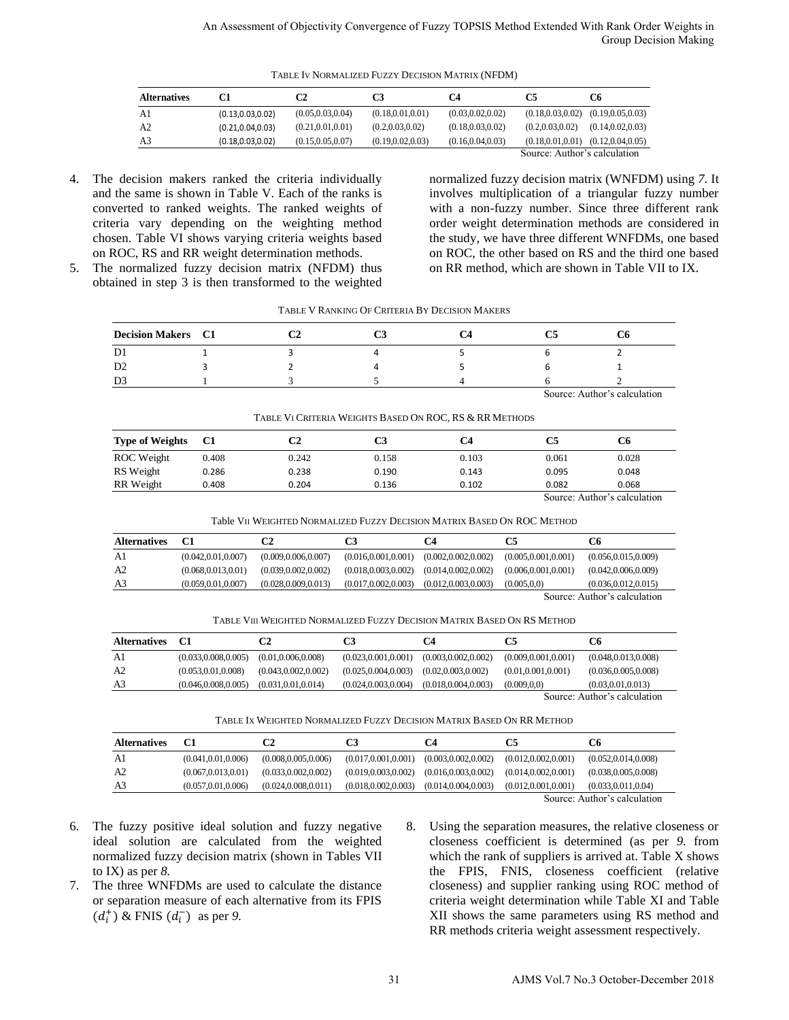| TABLE IV NORMALIZED FUZZY DECISION MATRIX (NFDM) |                              |                    |                    |                    |                    |                    |  |
|--------------------------------------------------|------------------------------|--------------------|--------------------|--------------------|--------------------|--------------------|--|
| <b>Alternatives</b>                              | C1                           | C2                 | C3                 | C4                 | C5                 | C6                 |  |
| A1                                               | (0.13, 0.03, 0.02)           | (0.05, 0.03, 0.04) | (0.18, 0.01, 0.01) | (0.03, 0.02, 0.02) | (0.18, 0.03, 0.02) | (0.19, 0.05, 0.03) |  |
| A <sub>2</sub>                                   | (0.21, 0.04, 0.03)           | (0.21, 0.01, 0.01) | (0.2, 0.03, 0.02)  | (0.18, 0.03, 0.02) | (0.2, 0.03, 0.02)  | (0.14, 0.02, 0.03) |  |
| A3                                               | (0.18, 0.03, 0.02)           | (0.15, 0.05, 0.07) | (0.19, 0.02, 0.03) | (0.16, 0.04, 0.03) | (0.18, 0.01, 0.01) | (0.12, 0.04, 0.05) |  |
|                                                  | Source: Author's calculation |                    |                    |                    |                    |                    |  |

4. The decision makers ranked the criteria individually and the same is shown in Table V. Each of the ranks is converted to ranked weights. The ranked weights of criteria vary depending on the weighting method chosen. Table VI shows varying criteria weights based on ROC, RS and RR weight determination methods.

5. The normalized fuzzy decision matrix (NFDM) thus obtained in step 3 is then transformed to the weighted

normalized fuzzy decision matrix (WNFDM) using *7.* It involves multiplication of a triangular fuzzy number with a non-fuzzy number. Since three different rank order weight determination methods are considered in the study, we have three different WNFDMs, one based on ROC, the other based on RS and the third one based on RR method, which are shown in Table VII to IX.

| TABLE V RANKING OF CRITERIA BY DECISION MAKERS |  |  |
|------------------------------------------------|--|--|
|------------------------------------------------|--|--|

| <b>Decision Makers</b> C1 |  |  | ◡u |  |
|---------------------------|--|--|----|--|
| D1                        |  |  |    |  |
| D <sub>2</sub>            |  |  |    |  |
| D3                        |  |  |    |  |

Source: Author's calculation

| TABLE VI CRITERIA WEIGHTS BASED ON ROC. RS & RR METHODS |       |       |       |       |       |       |  |
|---------------------------------------------------------|-------|-------|-------|-------|-------|-------|--|
| <b>Type of Weights</b>                                  | - C1  | C2    | C3    | C4    |       | С6    |  |
| ROC Weight                                              | 0.408 | 0.242 | 0.158 | 0.103 | 0.061 | 0.028 |  |
| RS Weight                                               | 0.286 | 0.238 | 0.190 | 0.143 | 0.095 | 0.048 |  |
| RR Weight                                               | 0.408 | 0.204 | 0.136 | 0.102 | 0.082 | 0.068 |  |

| RR Weight                                                               | 0.408                | 0.204                 | 0.136                 | 0.102                 | 0.082                 | 0.068                        |  |  |
|-------------------------------------------------------------------------|----------------------|-----------------------|-----------------------|-----------------------|-----------------------|------------------------------|--|--|
|                                                                         |                      |                       |                       |                       |                       | Source: Author's calculation |  |  |
| Table VII WEIGHTED NORMALIZED FUZZY DECISION MATRIX BASED ON ROC METHOD |                      |                       |                       |                       |                       |                              |  |  |
| <b>Alternatives</b>                                                     | C <sub>1</sub>       | C2                    | C3                    | C4                    | C5                    | C6                           |  |  |
| A <sub>1</sub>                                                          | (0.042, 0.01, 0.007) | (0.009, 0.006, 0.007) | (0.016, 0.001, 0.001) | (0.002, 0.002, 0.002) | (0.005, 0.001, 0.001) | (0.056, 0.015, 0.009)        |  |  |
| A2                                                                      | (0.068, 0.013, 0.01) | (0.039, 0.002, 0.002) | (0.018, 0.003, 0.002) | (0.014, 0.002, 0.002) | (0.006, 0.001, 0.001) | (0.042, 0.006, 0.009)        |  |  |
| A3                                                                      | (0.059, 0.01, 0.007) | (0.028, 0.009, 0.013) | (0.017, 0.002, 0.003) | (0.012, 0.003, 0.003) | (0.005, 0.0)          | (0.036, 0.012, 0.015)        |  |  |
| Source: Author's calculation                                            |                      |                       |                       |                       |                       |                              |  |  |

TABLE VIII WEIGHTED NORMALIZED FUZZY DECISION MATRIX BASED ON RS METHOD

| A3                                                                      | (0.059, 0.01, 0.007)  | (0.028, 0.009, 0.013) | (0.017, 0.002, 0.003) | (0.012, 0.003, 0.003) | (0.005, 0.0)          | (0.036, 0.012, 0.015)        |  |  |
|-------------------------------------------------------------------------|-----------------------|-----------------------|-----------------------|-----------------------|-----------------------|------------------------------|--|--|
|                                                                         |                       |                       |                       |                       |                       | Source: Author's calculation |  |  |
| TABLE VIII WEIGHTED NORMALIZED FUZZY DECISION MATRIX BASED ON RS METHOD |                       |                       |                       |                       |                       |                              |  |  |
| <b>Alternatives</b>                                                     | C1                    | C2                    | C3                    | C4                    | C5                    | C6                           |  |  |
| A <sub>1</sub>                                                          | (0.033, 0.008, 0.005) | (0.01, 0.006, 0.008)  | (0.023, 0.001, 0.001) | (0.003, 0.002, 0.002) | (0.009, 0.001, 0.001) | (0.048, 0.013, 0.008)        |  |  |
| A2                                                                      | (0.053, 0.01, 0.008)  | (0.043, 0.002, 0.002) | (0.025, 0.004, 0.003) | (0.02, 0.003, 0.002)  | (0.01, 0.001, 0.001)  | (0.036, 0.005, 0.008)        |  |  |
| A3                                                                      | (0.046, 0.008, 0.005) | (0.031, 0.01, 0.014)  | (0.024, 0.003, 0.004) | (0.018, 0.004, 0.003) | (0.009, 0.0)          | (0.03, 0.01, 0.013)          |  |  |
|                                                                         |                       |                       |                       |                       |                       | Source: Author's calculation |  |  |

| A3                  | (0.046.0.008.0.005)          | (0.031, 0.01, 0.014)                                                  | (0.024, 0.003, 0.004) | (0.018.0.004.0.003)   | (0.009.0.0)           | (0.03, 0.01, 0.013)          |  |
|---------------------|------------------------------|-----------------------------------------------------------------------|-----------------------|-----------------------|-----------------------|------------------------------|--|
|                     |                              |                                                                       |                       |                       |                       | Source: Author's calculation |  |
|                     |                              | TABLE IX WEIGHTED NORMALIZED FUZZY DECISION MATRIX BASED ON RR METHOD |                       |                       |                       |                              |  |
| <b>Alternatives</b> | C <sub>1</sub>               | C2                                                                    | C3                    | C4                    | C5                    | C6                           |  |
| A1                  | (0.041, 0.01, 0.006)         | (0.008, 0.005, 0.006)                                                 | (0.017, 0.001, 0.001) | (0.003, 0.002, 0.002) | (0.012, 0.002, 0.001) | (0.052, 0.014, 0.008)        |  |
| A2                  | (0.067, 0.013, 0.01)         | (0.033, 0.002, 0.002)                                                 | (0.019, 0.003, 0.002) | (0.016, 0.003, 0.002) | (0.014, 0.002, 0.001) | (0.038, 0.005, 0.008)        |  |
| A3                  | (0.057, 0.01, 0.006)         | (0.024, 0.008, 0.011)                                                 | (0.018, 0.002, 0.003) | (0.014, 0.004, 0.003) | (0.012, 0.001, 0.001) | (0.033, 0.011, 0.04)         |  |
|                     | Source: Author's calculation |                                                                       |                       |                       |                       |                              |  |

- 6. The fuzzy positive ideal solution and fuzzy negative ideal solution are calculated from the weighted normalized fuzzy decision matrix (shown in Tables VII to IX) as per *8.*
- 7. The three WNFDMs are used to calculate the distance or separation measure of each alternative from its FPIS  $(d_i^+)$  & FNIS  $(d_i^-)$  as per 9.
- 8. Using the separation measures, the relative closeness or closeness coefficient is determined (as per *9.* from which the rank of suppliers is arrived at. Table X shows the FPIS, FNIS, closeness coefficient (relative closeness) and supplier ranking using ROC method of criteria weight determination while Table XI and Table XII shows the same parameters using RS method and RR methods criteria weight assessment respectively. An Assessment of Objectivity Convergence of Fuzzy TOPSIS Media: Latenda With Rank Order Weights 1<br>
The method of Convergence of Convergence of Convergence of Convergence of Convergence of Convergence of Convergence of Con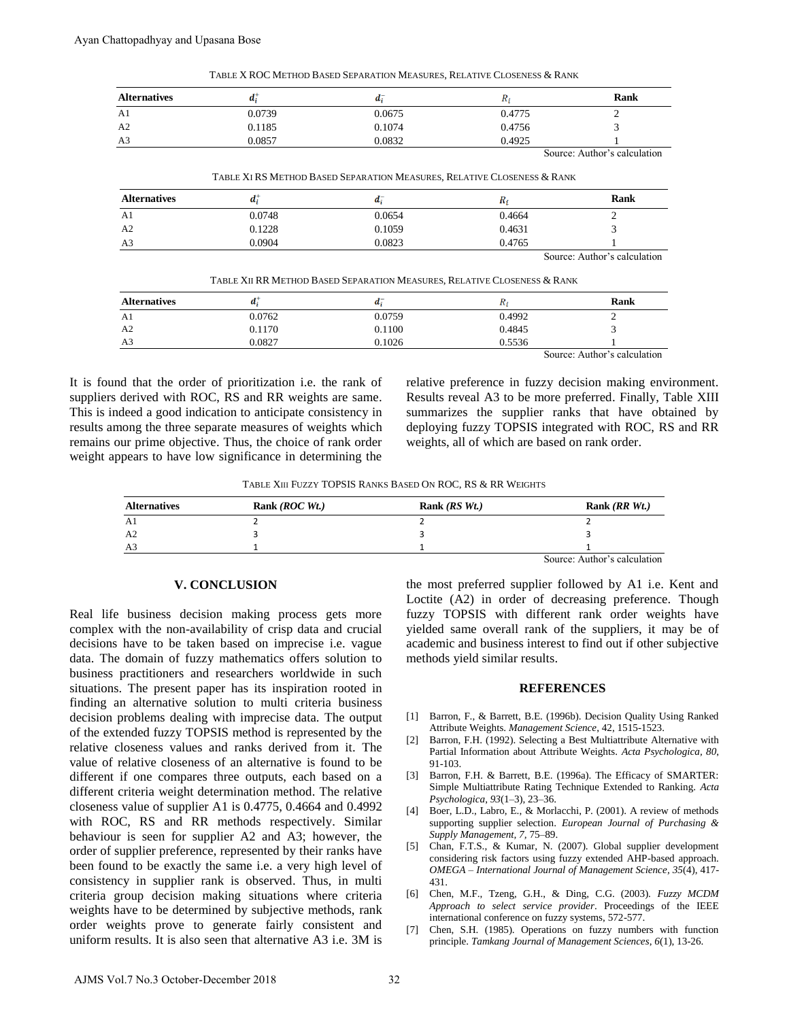| <b>Alternatives</b> | ď.     | и.     | к,     | Rank |
|---------------------|--------|--------|--------|------|
| A <sub>1</sub>      | 0.0739 | 0.0675 | 0.4775 | ∼    |
| A <sub>2</sub>      | 0.1185 | 0.1074 | 0.4756 |      |
| A <sub>3</sub>      | 0.0857 | 0.0832 | 0.4925 |      |

TABLE X ROC METHOD BASED SEPARATION MEASURES, RELATIVE CLOSENESS & RANK

Source: Author's calculation

| TABLE XI RS METHOD BASED SEPARATION MEASURES, RELATIVE CLOSENESS & RANK |
|-------------------------------------------------------------------------|
|-------------------------------------------------------------------------|

| <b>Alternatives</b> | a,     | и:     | K,     | Rank                                                                                                            |
|---------------------|--------|--------|--------|-----------------------------------------------------------------------------------------------------------------|
| A <sub>1</sub>      | 0.0748 | 0.0654 | 0.4664 |                                                                                                                 |
| A <sub>2</sub>      | 0.1228 | 0.1059 | 0.4631 |                                                                                                                 |
| A <sub>3</sub>      | 0.0904 | 0.0823 | 0.4765 |                                                                                                                 |
|                     |        |        |        | the contract of the contract of the contract of the contract of the contract of the contract of the contract of |

Source: Author's calculation

| TABLE XII RR METHOD BASED SEPARATION MEASURES, RELATIVE CLOSENESS & RANK |  |
|--------------------------------------------------------------------------|--|
|--------------------------------------------------------------------------|--|

| <b>Alternatives</b> | и.     |        | "      | Rank               |
|---------------------|--------|--------|--------|--------------------|
| A <sub>1</sub>      | 0.0762 | 0.0759 | 0.4992 |                    |
| A2                  | 0.1170 | 0.1100 | 0.4845 |                    |
| A <sub>3</sub>      | 0.0827 | 0.1026 | 0.5536 |                    |
|                     |        |        | $\sim$ | $\cdots$<br>$\sim$ |

Source: Author's calculation

It is found that the order of prioritization i.e. the rank of suppliers derived with ROC, RS and RR weights are same. This is indeed a good indication to anticipate consistency in results among the three separate measures of weights which remains our prime objective. Thus, the choice of rank order weight appears to have low significance in determining the relative preference in fuzzy decision making environment. Results reveal A3 to be more preferred. Finally, Table XIII summarizes the supplier ranks that have obtained by deploying fuzzy TOPSIS integrated with ROC, RS and RR weights, all of which are based on rank order.

TABLE XIII FUZZY TOPSIS RANKS BASED ON ROC, RS & RR WEIGHTS

| <b>Alternatives</b> | Rank $(ROC Wt.)$ | Rank $(RS Wt.)$ | Rank $(RR Wt.)$              |
|---------------------|------------------|-----------------|------------------------------|
| A1                  |                  |                 |                              |
| A2                  |                  |                 |                              |
| A <sub>3</sub>      |                  |                 |                              |
|                     |                  |                 | Source: Author's calculation |

## **V. CONCLUSION**

Real life business decision making process gets more complex with the non-availability of crisp data and crucial decisions have to be taken based on imprecise i.e. vague data. The domain of fuzzy mathematics offers solution to business practitioners and researchers worldwide in such situations. The present paper has its inspiration rooted in finding an alternative solution to multi criteria business decision problems dealing with imprecise data. The output of the extended fuzzy TOPSIS method is represented by the relative closeness values and ranks derived from it. The value of relative closeness of an alternative is found to be different if one compares three outputs, each based on a different criteria weight determination method. The relative closeness value of supplier A1 is 0.4775, 0.4664 and 0.4992 with ROC, RS and RR methods respectively. Similar behaviour is seen for supplier A2 and A3; however, the order of supplier preference, represented by their ranks have been found to be exactly the same i.e. a very high level of consistency in supplier rank is observed. Thus, in multi criteria group decision making situations where criteria weights have to be determined by subjective methods, rank order weights prove to generate fairly consistent and uniform results. It is also seen that alternative A3 i.e. 3M is **EXERCISE SCIENCE ASSESSMENT AND SCIENCE ASSESSMENT AND SCIENCE CONSULTING THE CONSULTING CONSULTING THE CONSULTING CONSULTING THE CONSULTING THE CONSULTING CONSULTING THE CONSULTING THE CONSULTING THE CONSULTING THE CONS** Ayan Chattopadhyay and Upasana Bose<br>
TAREN ROC METHOD BASED SEPARATEND<br>
Archaeology and Upasana Bose<br>
TAREN ROC METHOD BASED SEPARATEND<br>
AT a 0.0759<br>
AN a 0.0857<br>
TAREN KRS METHOD BASED SEPARATEND<br>
AN a 0.0763<br>
TAREN KRS

the most preferred supplier followed by A1 i.e. Kent and Loctite (A2) in order of decreasing preference. Though fuzzy TOPSIS with different rank order weights have yielded same overall rank of the suppliers, it may be of academic and business interest to find out if other subjective methods yield similar results.

### **REFERENCES**

- [1] Barron, F., & Barrett, B.E. (1996b). Decision Quality Using Ranked Attribute Weights. *Management Science*, 42, 1515-1523.
- [2] Barron, F.H. (1992). Selecting a Best Multiattribute Alternative with Partial Information about Attribute Weights. *Acta Psychologica, 80*, 91-103.
- [3] Barron, F.H. & Barrett, B.E. (1996a). The Efficacy of SMARTER: Simple Multiattribute Rating Technique Extended to Ranking. *Acta Psychologica*, *93*(1–3), 23–36.
- [4] Boer, L.D., Labro, E., & Morlacchi, P. (2001). A review of methods supporting supplier selection. *European Journal of Purchasing & Supply Management, 7,* 75–89.
- [5] Chan, F.T.S., & Kumar, N. (2007). Global supplier development considering risk factors using fuzzy extended AHP-based approach. *OMEGA – International Journal of Management Science, 35*(4), 417- 431.
- [6] Chen, M.F., Tzeng, G.H., & Ding, C.G. (2003). *Fuzzy MCDM Approach to select service provider*. Proceedings of the IEEE international conference on fuzzy systems, 572-577.
- [7] Chen, S.H. (1985). Operations on fuzzy numbers with function